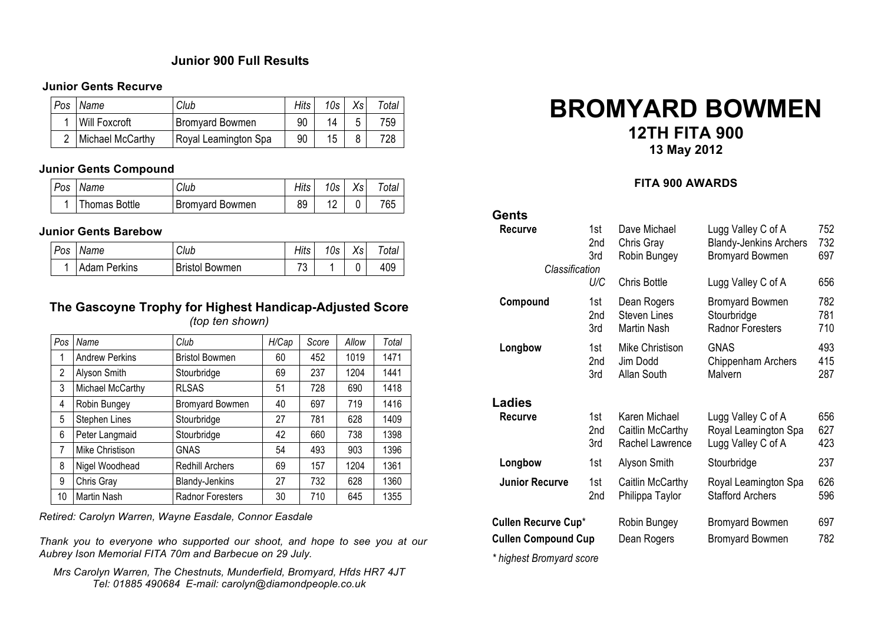### **Junior 900 Full Results**

#### **Junior Gents Recurve**

| Pos | Name                 | Club                   | Hits | 10s | Xs | $\tau_{\text{otal}}$ |
|-----|----------------------|------------------------|------|-----|----|----------------------|
|     | <b>Will Foxcroft</b> | <b>Bromvard Bowmen</b> | 90   | 14  |    | 759                  |
|     | Michael McCarthy     | Royal Leamington Spa   | 90   | 15  |    | 728                  |

#### **Junior Gents Compound**

|  | Pos Name      | Club                   | Hits I | 10s | $X_{S}$ | Total |
|--|---------------|------------------------|--------|-----|---------|-------|
|  | Thomas Bottle | <b>Bromyard Bowmen</b> | 89     |     |         | 765   |

#### **Junior Gents Barebow**

| Pos | Name                | Club                  | Hits | 10s | Xs | $\tau$ otal |
|-----|---------------------|-----------------------|------|-----|----|-------------|
|     | <b>Adam Perkins</b> | <b>Bristol Bowmen</b> | מד   |     |    | 409         |

#### **The Gascoyne Trophy for Highest Handicap-Adjusted Score** *(top ten shown)*

| Pos | Name                  | Club                    | H/Cap | Score | Allow | Total |
|-----|-----------------------|-------------------------|-------|-------|-------|-------|
| 1   | <b>Andrew Perkins</b> | <b>Bristol Bowmen</b>   | 60    | 452   | 1019  | 1471  |
| 2   | Alyson Smith          | Stourbridge             | 69    | 237   | 1204  | 1441  |
| 3   | Michael McCarthy      | <b>RLSAS</b>            | 51    | 728   | 690   | 1418  |
| 4   | Robin Bungey          | Bromyard Bowmen         | 40    | 697   | 719   | 1416  |
| 5   | Stephen Lines         | Stourbridge             | 27    | 781   | 628   | 1409  |
| 6   | Peter Langmaid        | Stourbridge             | 42    | 660   | 738   | 1398  |
| 7   | Mike Christison       | <b>GNAS</b>             | 54    | 493   | 903   | 1396  |
| 8   | Nigel Woodhead        | <b>Redhill Archers</b>  | 69    | 157   | 1204  | 1361  |
| 9   | Chris Gray            | <b>Blandy-Jenkins</b>   | 27    | 732   | 628   | 1360  |
| 10  | Martin Nash           | <b>Radnor Foresters</b> | 30    | 710   | 645   | 1355  |

*Retired: Carolyn Warren, Wayne Easdale, Connor Easdale*

*Thank you to everyone who supported our shoot, and hope to see you at our Aubrey Ison Memorial FITA 70m and Barbecue on 29 July.*

*Mrs Carolyn Warren, The Chestnuts, Munderfield, Bromyard, Hfds HR7 4JT Tel: 01885 490684 E-mail: carolyn@diamondpeople.co.uk*

# **BROMYARD BOWMEN 12TH FITA 900**

**13 May 2012**

#### **FITA 900 AWARDS**

| Gents                      |                   |                                                      |                                                                               |                   |
|----------------------------|-------------------|------------------------------------------------------|-------------------------------------------------------------------------------|-------------------|
| Recurve<br>Classification  | 1st<br>2nd<br>3rd | Dave Michael<br>Chris Gray<br>Robin Bungey           | Lugg Valley C of A<br><b>Blandy-Jenkins Archers</b><br><b>Bromyard Bowmen</b> | 752<br>732<br>697 |
|                            | U/C               | <b>Chris Bottle</b>                                  | Lugg Valley C of A                                                            | 656               |
| Compound                   | 1st<br>2nd<br>3rd | Dean Rogers<br><b>Steven Lines</b><br>Martin Nash    | <b>Bromyard Bowmen</b><br>Stourbridge<br><b>Radnor Foresters</b>              | 782<br>781<br>710 |
| Longbow                    | 1st<br>2nd<br>3rd | Mike Christison<br>Jim Dodd<br>Allan South           | <b>GNAS</b><br>Chippenham Archers<br>Malvern                                  | 493<br>415<br>287 |
| <b>Ladies</b>              |                   |                                                      |                                                                               |                   |
| <b>Recurve</b>             | 1st<br>2nd<br>3rd | Karen Michael<br>Caitlin McCarthy<br>Rachel Lawrence | Lugg Valley C of A<br>Royal Leamington Spa<br>Lugg Valley C of A              | 656<br>627<br>423 |
| Longbow                    | 1st               | Alyson Smith                                         | Stourbridge                                                                   | 237               |
| <b>Junior Recurve</b>      | 1st<br>2nd        | Caitlin McCarthy<br>Philippa Taylor                  | Royal Leamington Spa<br><b>Stafford Archers</b>                               | 626<br>596        |
| <b>Cullen Recurve Cup*</b> |                   | Robin Bungey                                         | <b>Bromyard Bowmen</b>                                                        | 697               |
| <b>Cullen Compound Cup</b> |                   | Dean Rogers                                          | <b>Bromyard Bowmen</b>                                                        | 782               |
|                            |                   |                                                      |                                                                               |                   |

*\* highest Bromyard score*